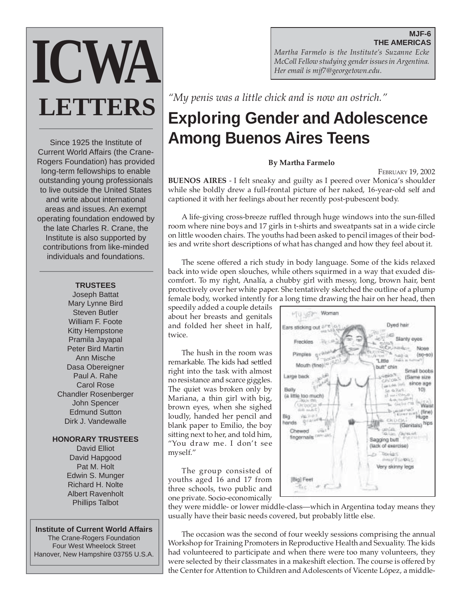# **MJF-6 THE AMERICAS**

**ICWA LETTERS**

Since 1925 the Institute of Current World Affairs (the Crane-Rogers Foundation) has provided long-term fellowships to enable outstanding young professionals to live outside the United States and write about international areas and issues. An exempt operating foundation endowed by the late Charles R. Crane, the Institute is also supported by contributions from like-minded individuals and foundations.

# **TRUSTEES**

Joseph Battat Mary Lynne Bird Steven Butler William F. Foote Kitty Hempstone Pramila Jayapal Peter Bird Martin Ann Mische Dasa Obereigner Paul A. Rahe Carol Rose Chandler Rosenberger John Spencer Edmund Sutton Dirk J. Vandewalle

# **HONORARY TRUSTEES**

David Elliot David Hapgood Pat M. Holt Edwin S. Munger Richard H. Nolte Albert Ravenholt Phillips Talbot

#### **Institute of Current World Affairs**

The Crane-Rogers Foundation Four West Wheelock Street Hanover, New Hampshire 03755 U.S.A. *Martha Farmelo is the Institute's Suzanne Ecke McColl Fellow studying gender issues in Argentina. Her email is mjf7@georgetown.edu.*

*"My penis was a little chick and is now an ostrich."*

# **Exploring Gender and Adolescence Among Buenos Aires Teens**

#### **By Martha Farmelo**

FEBRUARY 19, 2002 **BUENOS AIRES** - I felt sneaky and guilty as I peered over Monica's shoulder while she boldly drew a full-frontal picture of her naked, 16-year-old self and captioned it with her feelings about her recently post-pubescent body.

A life-giving cross-breeze ruffled through huge windows into the sun-filled room where nine boys and 17 girls in t-shirts and sweatpants sat in a wide circle on little wooden chairs. The youths had been asked to pencil images of their bodies and write short descriptions of what has changed and how they feel about it.

The scene offered a rich study in body language. Some of the kids relaxed back into wide open slouches, while others squirmed in a way that exuded discomfort. To my right, Analía, a chubby girl with messy, long, brown hair, bent protectively over her white paper. She tentatively sketched the outline of a plump female body, worked intently for a long time drawing the hair on her head, then

speedily added a couple details about her breasts and genitals and folded her sheet in half, twice.

The hush in the room was remarkable. The kids had settled right into the task with almost no resistance and scarce giggles. The quiet was broken only by Mariana, a thin girl with big, brown eyes, when she sighed loudly, handed her pencil and blank paper to Emilio, the boy sitting next to her, and told him, "You draw me. I don't see myself."

The group consisted of youths aged 16 and 17 from three schools, two public and one private. Socio-economically



they were middle- or lower middle-class—which in Argentina today means they usually have their basic needs covered, but probably little else.

The occasion was the second of four weekly sessions comprising the annual Workshop for Training Promoters in Reproductive Health and Sexuality. The kids had volunteered to participate and when there were too many volunteers, they were selected by their classmates in a makeshift election. The course is offered by the Center for Attention to Children and Adolescents of Vicente López, a middle-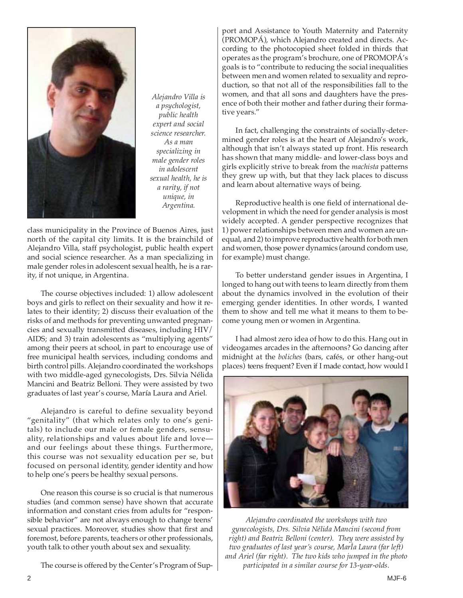

*Alejandro Villa is a psychologist, public health expert and social science researcher. As a man specializing in male gender roles in adolescent sexual health, he is a rarity, if not unique, in Argentina.*

class municipality in the Province of Buenos Aires, just north of the capital city limits. It is the brainchild of Alejandro Villa, staff psychologist, public health expert and social science researcher. As a man specializing in male gender roles in adolescent sexual health, he is a rarity, if not unique, in Argentina.

The course objectives included: 1) allow adolescent boys and girls to reflect on their sexuality and how it relates to their identity; 2) discuss their evaluation of the risks of and methods for preventing unwanted pregnancies and sexually transmitted diseases, including HIV/ AIDS; and 3) train adolescents as "multiplying agents" among their peers at school, in part to encourage use of free municipal health services, including condoms and birth control pills. Alejandro coordinated the workshops with two middle-aged gynecologists, Drs. Silvia Nélida Mancini and Beatriz Belloni. They were assisted by two graduates of last year's course, María Laura and Ariel.

Alejandro is careful to define sexuality beyond "genitality" (that which relates only to one's genitals) to include our male or female genders, sensuality, relationships and values about life and love and our feelings about these things. Furthermore, this course was not sexuality education per se, but focused on personal identity, gender identity and how to help one's peers be healthy sexual persons.

One reason this course is so crucial is that numerous studies (and common sense) have shown that accurate information and constant cries from adults for "responsible behavior" are not always enough to change teens' sexual practices. Moreover, studies show that first and foremost, before parents, teachers or other professionals, youth talk to other youth about sex and sexuality.

The course is offered by the Center's Program of Sup-

port and Assistance to Youth Maternity and Paternity (PROMOPÁ), which Alejandro created and directs*.* According to the photocopied sheet folded in thirds that operates as the program's brochure, one of PROMOPÁ's goals is to "contribute to reducing the social inequalities between men and women related to sexuality and reproduction, so that not all of the responsibilities fall to the women, and that all sons and daughters have the presence of both their mother and father during their formative years."

In fact, challenging the constraints of socially-determined gender roles is at the heart of Alejandro's work, although that isn't always stated up front. His research has shown that many middle- and lower-class boys and girls explicitly strive to break from the *machista* patterns they grew up with, but that they lack places to discuss and learn about alternative ways of being.

Reproductive health is one field of international development in which the need for gender analysis is most widely accepted. A gender perspective recognizes that 1) power relationships between men and women are unequal, and 2) to improve reproductive health for both men and women, those power dynamics (around condom use, for example) must change.

To better understand gender issues in Argentina, I longed to hang out with teens to learn directly from them about the dynamics involved in the evolution of their emerging gender identities. In other words, I wanted them to show and tell me what it means to them to become young men or women in Argentina.

I had almost zero idea of how to do this. Hang out in videogames arcades in the afternoons? Go dancing after midnight at the *boliches* (bars, cafés, or other hang-out places) teens frequent? Even if I made contact, how would I



*Alejandro coordinated the workshops with two gynecologists, Drs. Silvia Nélida Mancini (second from right) and Beatriz Belloni (center). They were assisted by two graduates of last year's course, MarÌa Laura (far left) and Ariel (far right). The two kids who jumped in the photo participated in a similar course for 13-year-olds.*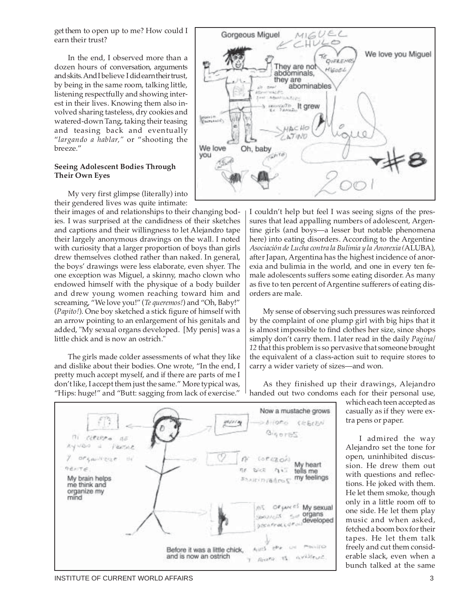get them to open up to me? How could I earn their trust?

In the end, I observed more than a dozen hours of conversation, arguments and skits. And I believe I did earn their trust, by being in the same room, talking little, listening respectfully and showing interest in their lives. Knowing them also involved sharing tasteless, dry cookies and watered-down Tang, taking their teasing and teasing back and eventually "*largando a hablar,"* or "shooting the breeze."

#### **Seeing Adolescent Bodies Through Their Own Eyes**

My very first glimpse (literally) into their gendered lives was quite intimate:

their images of and relationships to their changing bodies. I was surprised at the candidness of their sketches and captions and their willingness to let Alejandro tape their largely anonymous drawings on the wall. I noted with curiosity that a larger proportion of boys than girls drew themselves clothed rather than naked. In general, the boys' drawings were less elaborate, even shyer. The one exception was Miguel, a skinny, macho clown who endowed himself with the physique of a body builder and drew young women reaching toward him and screaming, "We love you!" (*Te queremos!*) and "Oh, Baby!" (*Papito!*). One boy sketched a stick figure of himself with an arrow pointing to an enlargement of his genitals and added, "My sexual organs developed. [My penis] was a little chick and is now an ostrich."

The girls made colder assessments of what they like and dislike about their bodies. One wrote, "In the end, I pretty much accept myself, and if there are parts of me I don't like, I accept them just the same." More typical was, "Hips: huge!" and "Butt: sagging from lack of exercise."





I couldn't help but feel I was seeing signs of the pressures that lead appalling numbers of adolescent, Argentine girls (and boys—a lesser but notable phenomena here) into eating disorders. According to the Argentine *Asociación de Lucha contra la Bulimia y la Anorexia (*ALUBA), after Japan, Argentina has the highest incidence of anorexia and bulimia in the world, and one in every ten female adolescents suffers some eating disorder. As many as five to ten percent of Argentine sufferers of eating disorders are male.

My sense of observing such pressures was reinforced by the complaint of one plump girl with big hips that it is almost impossible to find clothes her size, since shops simply don't carry them. I later read in the daily *Pagina/ 12* that this problem is so pervasive that someone brought the equivalent of a class-action suit to require stores to carry a wider variety of sizes—and won.

As they finished up their drawings, Alejandro handed out two condoms each for their personal use,

which each teen accepted as casually as if they were extra pens or paper.

I admired the way Alejandro set the tone for open, uninhibited discussion. He drew them out with questions and reflections. He joked with them. He let them smoke, though only in a little room off to one side. He let them play music and when asked, fetched a boom box for their tapes. He let them talk freely and cut them considerable slack, even when a bunch talked at the same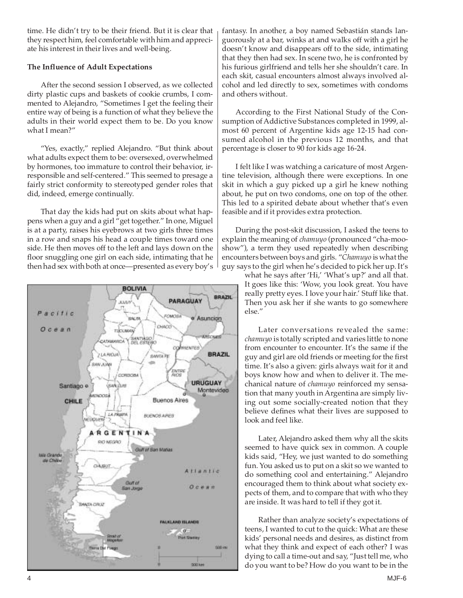time. He didn't try to be their friend. But it is clear that they respect him, feel comfortable with him and appreciate his interest in their lives and well-being.

# **The Influence of Adult Expectations**

After the second session I observed, as we collected dirty plastic cups and baskets of cookie crumbs, I commented to Alejandro, "Sometimes I get the feeling their entire way of being is a function of what they believe the adults in their world expect them to be. Do you know what I mean?"

"Yes, exactly," replied Alejandro. "But think about what adults expect them to be: oversexed, overwhelmed by hormones, too immature to control their behavior, irresponsible and self-centered." This seemed to presage a fairly strict conformity to stereotyped gender roles that did, indeed, emerge continually.

That day the kids had put on skits about what happens when a guy and a girl "get together." In one, Miguel is at a party, raises his eyebrows at two girls three times in a row and snaps his head a couple times toward one side. He then moves off to the left and lays down on the floor snuggling one girl on each side, intimating that he then had sex with both at once—presented as every boy's



fantasy. In another, a boy named Sebastián stands languorously at a bar, winks at and walks off with a girl he doesn't know and disappears off to the side, intimating that they then had sex. In scene two, he is confronted by his furious girlfriend and tells her she shouldn't care. In each skit, casual encounters almost always involved alcohol and led directly to sex, sometimes with condoms and others without.

According to the First National Study of the Consumption of Addictive Substances completed in 1999, almost 60 percent of Argentine kids age 12-15 had consumed alcohol in the previous 12 months, and that percentage is closer to 90 for kids age 16-24.

I felt like I was watching a caricature of most Argentine television, although there were exceptions. In one skit in which a guy picked up a girl he knew nothing about, he put on two condoms, one on top of the other. This led to a spirited debate about whether that's even feasible and if it provides extra protection.

During the post-skit discussion, I asked the teens to explain the meaning of *chamuyo* (pronounced "cha-mooshow"), a term they used repeatedly when describing encounters between boys and girls. "*Chamuyo* is what the guy says to the girl when he's decided to pick her up. It's

what he says after 'Hi,' 'What's up?' and all that. It goes like this: 'Wow, you look great. You have really pretty eyes. I love your hair.' Stuff like that. Then you ask her if she wants to go somewhere else."

Later conversations revealed the same: *chamuyo* is totally scripted and varies little to none from encounter to encounter. It's the same if the guy and girl are old friends or meeting for the first time. It's also a given: girls always wait for it and boys know how and when to deliver it. The mechanical nature of *chamuyo* reinforced my sensation that many youth in Argentina are simply living out some socially-created notion that they believe defines what their lives are supposed to look and feel like.

Later, Alejandro asked them why all the skits seemed to have quick sex in common. A couple kids said, "Hey, we just wanted to do something fun. You asked us to put on a skit so we wanted to do something cool and entertaining." Alejandro encouraged them to think about what society expects of them, and to compare that with who they are inside. It was hard to tell if they got it.

Rather than analyze society's expectations of teens, I wanted to cut to the quick: What are these kids' personal needs and desires, as distinct from what they think and expect of each other? I was dying to call a time-out and say, "Just tell me, who do you want to be? How do you want to be in the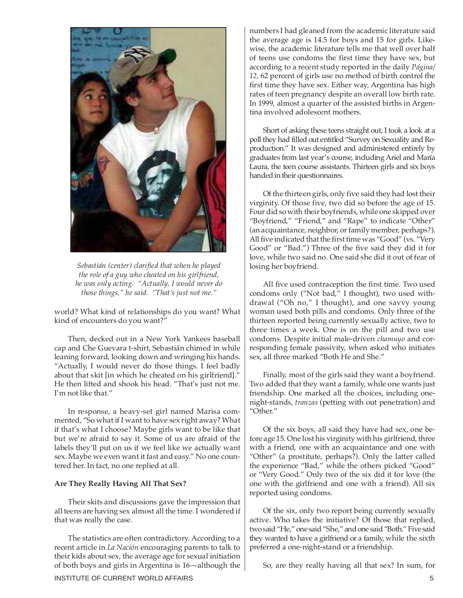

*Sebastián (center) clarified that when he played the role of a guy who cheated on his girlfriend, he was only acting. "Actually, I would never do those things," he said. "That's just not me."*

world? What kind of relationships do you want? What kind of encounters do you want?"

Then, decked out in a New York Yankees baseball cap and Che Guevara t-shirt, Sebastián chimed in while leaning forward, looking down and wringing his hands. "Actually, I would never do those things. I feel badly about that skit [in which he cheated on his girlfriend]." He then lifted and shook his head. "That's just not me. I'm not like that."

In response, a heavy-set girl named Marisa commented, "So what if I want to have sex right away? What if that's what I choose? Maybe girls want to be like that but we're afraid to say it. Some of us are afraid of the labels they'll put on us if we feel like we actually want sex. Maybe we even want it fast and easy." No one countered her. In fact, no one replied at all.

#### **Are They Really Having All That Sex?**

Their skits and discussions gave the impression that all teens are having sex almost all the time. I wondered if that was really the case.

The statistics are often contradictory. According to a recent article in *La Nación* encouraging parents to talk to their kids about sex*,* the average age for sexual initiation of both boys and girls in Argentina is 16—although the numbers I had gleaned from the academic literature said the average age is 14.5 for boys and 15 for girls. Likewise, the academic literature tells me that well over half of teens use condoms the first time they have sex, but according to a recent study reported in the daily *Página/ 12,* 62 percent of girls use no method of birth control the first time they have sex. Either way, Argentina has high rates of teen pregnancy despite an overall low birth rate. In 1999, almost a quarter of the assisted births in Argentina involved adolescent mothers.

Short of asking these teens straight out, I took a look at a poll they had filled out entitled "Survey on Sexuality and Reproduction." It was designed and administered entirely by graduates from last year's course, including Ariel and María Laura, the teen course assistants. Thirteen girls and six boys handed in their questionnaires.

Of the thirteen girls, only five said they had lost their virginity. Of those five, two did so before the age of 15. Four did so with their boyfriends, while one skipped over "Boyfriend," "Friend," and "Rape" to indicate "Other" (an acquaintance, neighbor, or family member, perhaps?). All five indicated that the first time was "Good" (vs. "Very Good" or "Bad.") Three of the five said they did it for love, while two said no. One said she did it out of fear of losing her boyfriend.

All five used contraception the first time. Two used condoms only ("Not bad," I thought), two used withdrawal ("Oh no," I thought), and one savvy young woman used both pills and condoms. Only three of the thirteen reported being currently sexually active, two to three times a week. One is on the pill and two use condoms. Despite initial male-driven *chamuyo* and corresponding female passivity, when asked who initiates sex, all three marked "Both He and She."

Finally, most of the girls said they want a boyfriend. Two added that they want a family, while one wants just friendship. One marked all the choices, including onenight-stands, *tranzas* (petting with out penetration) and "Other."

Of the six boys, all said they have had sex, one before age 15. One lost his virginity with his girlfriend, three with a friend, one with an acquaintance and one with "Other" (a prostitute, perhaps?). Only the latter called the experience "Bad," while the others picked "Good" or "Very Good." Only two of the six did it for love (the one with the girlfriend and one with a friend). All six reported using condoms.

Of the six, only two report being currently sexually active. Who takes the initiative? Of those that replied, two said "He," one said "She," and one said "Both." Five said they wanted to have a girlfriend or a family, while the sixth preferred a one-night-stand or a friendship.

So, are they really having all that sex? In sum, for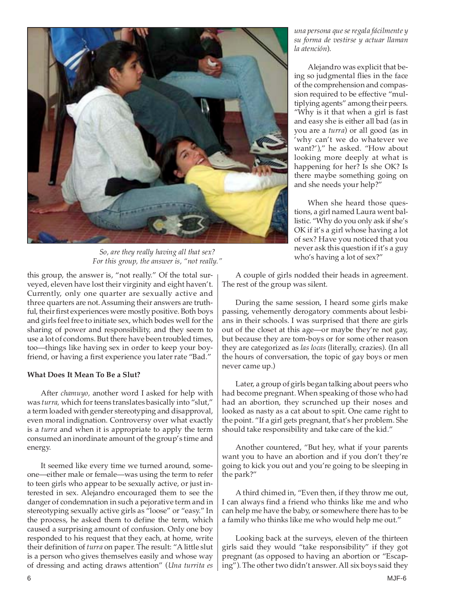

*So, are they really having all that sex? For this group, the answer is, "not really."*

this group, the answer is, "not really." Of the total surveyed, eleven have lost their virginity and eight haven't. Currently, only one quarter are sexually active and three quarters are not. Assuming their answers are truthful, their first experiences were mostly positive. Both boys and girls feel free to initiate sex, which bodes well for the sharing of power and responsibility, and they seem to use a lot of condoms. But there have been troubled times, too—things like having sex in order to keep your boyfriend, or having a first experience you later rate "Bad."

# **What Does It Mean To Be a Slut?**

After *chamuyo,* another word I asked for help with was *turra,* which for teens translates basically into "slut," a term loaded with gender stereotyping and disapproval, even moral indignation. Controversy over what exactly is a *turra* and when it is appropriate to apply the term consumed an inordinate amount of the group's time and energy.

It seemed like every time we turned around, someone—either male or female—was using the term to refer to teen girls who appear to be sexually active, or just interested in sex. Alejandro encouraged them to see the danger of condemnation in such a pejorative term and in stereotyping sexually active girls as "loose" or "easy." In the process, he asked them to define the term, which caused a surprising amount of confusion. Only one boy responded to his request that they each, at home, write their definition of *turra* on paper. The result: "A little slut is a person who gives themselves easily and whose way of dressing and acting draws attention" (*Una turrita es* *una persona que se regala fácilmente y su forma de vestirse y actuar llaman la atención*).

Alejandro was explicit that being so judgmental flies in the face of the comprehension and compassion required to be effective "multiplying agents" among their peers. "Why is it that when a girl is fast and easy she is either all bad (as in you are a *turra*) or all good (as in 'why can't we do whatever we want?')," he asked. "How about looking more deeply at what is happening for her? Is she OK? Is there maybe something going on and she needs your help?"

When she heard those questions, a girl named Laura went ballistic. "Why do you only ask if she's OK if it's a girl whose having a lot of sex? Have you noticed that you never ask this question if it's a guy who's having a lot of sex?"

A couple of girls nodded their heads in agreement. The rest of the group was silent.

During the same session, I heard some girls make passing, vehemently derogatory comments about lesbians in their schools. I was surprised that there are girls out of the closet at this age—or maybe they're not gay, but because they are tom-boys or for some other reason they are categorized as *las locas* (literally, crazies). (In all the hours of conversation, the topic of gay boys or men never came up.)

Later, a group of girls began talking about peers who had become pregnant. When speaking of those who had had an abortion, they scrunched up their noses and looked as nasty as a cat about to spit. One came right to the point. "If a girl gets pregnant, that's her problem. She should take responsibility and take care of the kid."

Another countered, "But hey, what if your parents want you to have an abortion and if you don't they're going to kick you out and you're going to be sleeping in the park?"

A third chimed in, "Even then, if they throw me out, I can always find a friend who thinks like me and who can help me have the baby, or somewhere there has to be a family who thinks like me who would help me out."

Looking back at the surveys, eleven of the thirteen girls said they would "take responsibility" if they got pregnant (as opposed to having an abortion or "Escaping"). The other two didn't answer. All six boys said they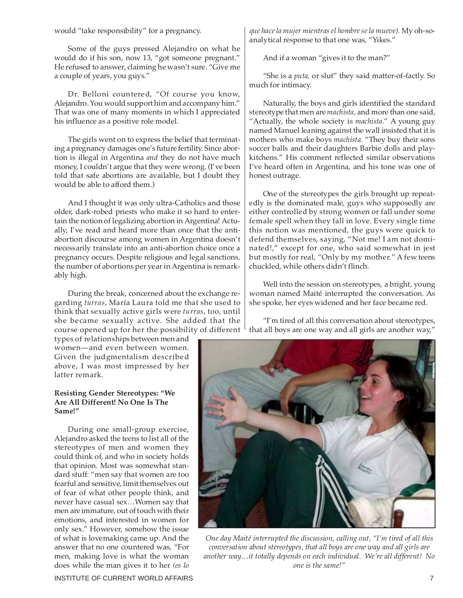would "take responsibility" for a pregnancy.

Some of the guys pressed Alejandro on what he would do if his son, now 13, "got someone pregnant." He refused to answer, claiming he wasn't sure. "Give me a couple of years, you guys."

Dr. Belloni countered, "Of course you know, Alejandro. You would support him and accompany him." That was one of many moments in which I appreciated his influence as a positive role model.

The girls went on to express the belief that terminating a pregnancy damages one's future fertility. Since abortion is illegal in Argentina *and* they do not have much money, I couldn't argue that they were wrong. (I've been told that safe abortions are available, but I doubt they would be able to afford them.)

And I thought it was only ultra-Catholics and those older, dark-robed priests who make it so hard to entertain the notion of legalizing abortion in Argentina! Actually, I've read and heard more than once that the antiabortion discourse among women in Argentina doesn't necessarily translate into an anti-abortion choice once a pregnancy occurs. Despite religious and legal sanctions, the number of abortions per year in Argentina is remarkably high.

During the break, concerned about the exchange regarding *turras*, María Laura told me that she used to think that sexually active girls were *turras*, too, until she became sexually active. She added that the course opened up for her the possibility of different

types of relationships between men and women—and even between women. Given the judgmentalism described above, I was most impressed by her latter remark.

# **Resisting Gender Stereotypes: "We Are All Different! No One Is The Same!"**

During one small-group exercise, Alejandro asked the teens to list all of the stereotypes of men and women they could think of, and who in society holds that opinion. Most was somewhat standard stuff: "men say that women are too fearful and sensitive, limit themselves out of fear of what other people think, and never have casual sex…Women say that men are immature, out of touch with their emotions, and interested in women for only sex." However, somehow the issue of what is lovemaking came up. And the answer that no one countered was, "For men, making love is what the woman does while the man gives it to her *(es lo* *que hace la mujer mientras el hombre se la mueve).* My oh-soanalytical response to that one was, "Yikes."

And if a woman "gives it to the man?"

"She is a *puta,* or slut" they said matter-of-factly. So much for intimacy.

Naturally, the boys and girls identified the standard stereotype that men are *machista,* and more than one said, "Actually, the whole society is *machista.*" A young guy named Manuel leaning against the wall insisted that it is mothers who make boys *machista*. "They buy their sons soccer balls and their daughters Barbie dolls and playkitchens." His comment reflected similar observations I've heard often in Argentina, and his tone was one of honest outrage.

One of the stereotypes the girls brought up repeatedly is the dominated male, guys who supposedly are either controlled by strong women or fall under some female spell when they fall in love. Every single time this notion was mentioned, the guys were quick to defend themselves, saying, "Not me! I am not dominated!," except for one, who said somewhat in jest but mostly for real, "Only by my mother." A few teens chuckled, while others didn't flinch.

Well into the session on stereotypes, a bright, young woman named Maité interrupted the conversation. As she spoke, her eyes widened and her face became red.

"I'm tired of all this conversation about stereotypes, that all boys are one way and all girls are another way,"



*One day Maité interrupted the discussion, calling out, "I'm tired of all this conversation about stereotypes, that all boys are one way and all girls are another way…it totally depends on each individual. We're all different! No one is the same!"*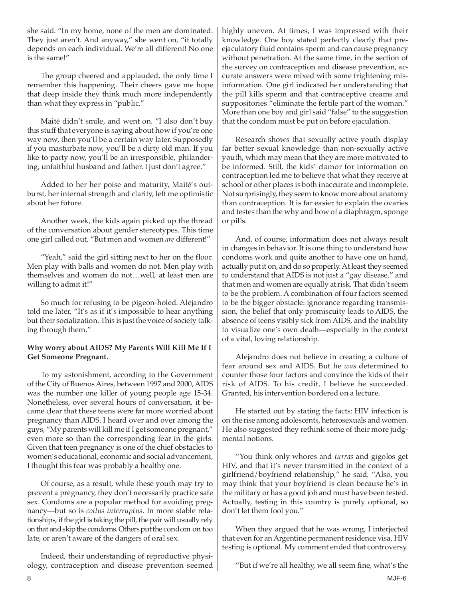she said. "In my home, none of the men are dominated. They just aren't. And anyway," she went on, "it totally depends on each individual. We're all different! No one is the same!"

The group cheered and applauded, the only time I remember this happening. Their cheers gave me hope that deep inside they think much more independently than what they express in "public."

Maité didn't smile, and went on. "I also don't buy this stuff that everyone is saying about how if you're one way now, then you'll be a certain way later. Supposedly if you masturbate now, you'll be a dirty old man. If you like to party now, you'll be an irresponsible, philandering, unfaithful husband and father. I just don't agree."

Added to her her poise and maturity, Maité's outburst, her internal strength and clarity, left me optimistic about her future.

Another week, the kids again picked up the thread of the conversation about gender stereotypes. This time one girl called out, "But men and women *are* different!"

"Yeah," said the girl sitting next to her on the floor. Men play with balls and women do not. Men play with themselves and women do not…well, at least men are willing to admit it!"

So much for refusing to be pigeon-holed. Alejandro told me later, "It's as if it's impossible to hear anything but their socialization. This is just the voice of society talking through them."

# **Why worry about AIDS? My Parents Will Kill Me If I Get Someone Pregnant.**

To my astonishment, according to the Government of the City of Buenos Aires, between 1997 and 2000, AIDS was the number one killer of young people age 15-34. Nonetheless, over several hours of conversation, it became clear that these teens were far more worried about pregnancy than AIDS. I heard over and over among the guys, "My parents will kill me if I get someone pregnant," even more so than the corresponding fear in the girls. Given that teen pregnancy is one of the chief obstacles to women's educational, economic and social advancement, I thought this fear was probably a healthy one.

Of course, as a result, while these youth may try to prevent a pregnancy, they don't necessarily practice safe sex. Condoms are a popular method for avoiding pregnancy—but so is *coitus interruptus.* In more stable relationships, if the girl is taking the pill, the pair will usually rely on that and skip the condoms. Others put the condom on too late, or aren't aware of the dangers of oral sex.

Indeed, their understanding of reproductive physiology, contraception and disease prevention seemed highly uneven. At times, I was impressed with their knowledge. One boy stated perfectly clearly that preejaculatory fluid contains sperm and can cause pregnancy without penetration. At the same time, in the section of the survey on contraception and disease prevention, accurate answers were mixed with some frightening misinformation. One girl indicated her understanding that the pill kills sperm and that contraceptive creams and suppositories "eliminate the fertile part of the woman." More than one boy and girl said "false" to the suggestion that the condom must be put on before ejaculation.

Research shows that sexually active youth display far better sexual knowledge than non-sexually active youth, which may mean that they are more motivated to be informed. Still, the kids' clamor for information on contraception led me to believe that what they receive at school or other places is both inaccurate and incomplete. Not surprisingly, they seem to know more about anatomy than contraception. It is far easier to explain the ovaries and testes than the why and how of a diaphragm, sponge or pills.

And, of course, information does not always result in changes in behavior. It is one thing to understand how condoms work and quite another to have one on hand, actually put it on, and do so properly. At least they seemed to understand that AIDS is not just a "gay disease," and that men and women are equally at risk. That didn't seem to be the problem. A combination of four factors seemed to be the bigger obstacle: ignorance regarding transmission, the belief that only promiscuity leads to AIDS, the absence of teens visibly sick from AIDS, and the inability to visualize one's own death—especially in the context of a vital, loving relationship.

Alejandro does not believe in creating a culture of fear around sex and AIDS. But he *was* determined to counter those four factors and convince the kids of their risk of AIDS. To his credit, I believe he succeeded. Granted, his intervention bordered on a lecture.

He started out by stating the facts: HIV infection is on the rise among adolescents, heterosexuals and women. He also suggested they rethink some of their more judgmental notions.

"You think only whores and *turras* and gigolos get HIV, and that it's never transmitted in the context of a girlfriend/boyfriend relationship," he said. "Also, you may think that your boyfriend is clean because he's in the military or has a good job and must have been tested. Actually, testing in this country is purely optional, so don't let them fool you."

When they argued that he was wrong, I interjected that even for an Argentine permanent residence visa, HIV testing is optional. My comment ended that controversy.

"But if we're all healthy, we all seem fine, what's the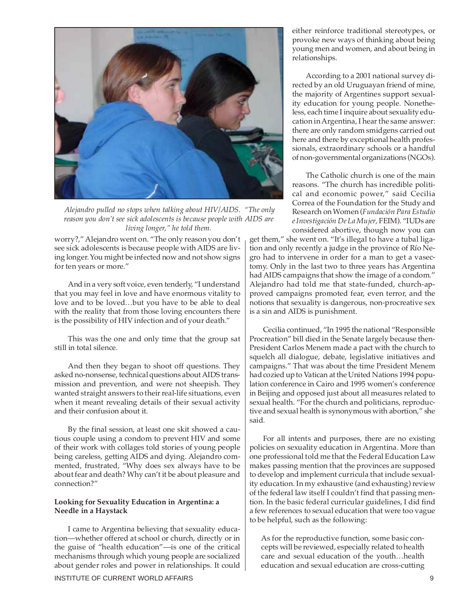

 *Alejandro pulled no stops when talking about HIV/AIDS. "The only reason you don't see sick adolescents is because people with AIDS are living longer," he told them.*

worry?," Alejandro went on. "The only reason you don't see sick adolescents is because people with AIDS are living longer. You might be infected now and not show signs for ten years or more."

And in a very soft voice, even tenderly, "I understand that you may feel in love and have enormous vitality to love and to be loved…but you have to be able to deal with the reality that from those loving encounters there is the possibility of HIV infection and of your death."

This was the one and only time that the group sat still in total silence.

And then they began to shoot off questions. They asked no-nonsense, technical questions about AIDS transmission and prevention, and were not sheepish. They wanted straight answers to their real-life situations, even when it meant revealing details of their sexual activity and their confusion about it.

By the final session, at least one skit showed a cautious couple using a condom to prevent HIV and some of their work with collages told stories of young people being careless, getting AIDS and dying. Alejandro commented, frustrated, "Why does sex always have to be about fear and death? Why can't it be about pleasure and connection?"

# **Looking for Sexuality Education in Argentina: a Needle in a Haystack**

I came to Argentina believing that sexuality education—whether offered at school or church, directly or in the guise of "health education"—is one of the critical mechanisms through which young people are socialized about gender roles and power in relationships. It could either reinforce traditional stereotypes, or provoke new ways of thinking about being young men and women, and about being in relationships.

According to a 2001 national survey directed by an old Uruguayan friend of mine, the majority of Argentines support sexuality education for young people. Nonetheless, each time I inquire about sexuality education in Argentina, I hear the same answer: there are only random smidgens carried out here and there by exceptional health professionals, extraordinary schools or a handful of non-governmental organizations (NGOs).

The Catholic church is one of the main reasons. "The church has incredible political and economic power," said Cecilia Correa of the Foundation for the Study and Research on Women (*Fundación Para Estudio e Investigación De La Mujer*, FEIM). "IUDs are considered abortive, though now you can

get them," she went on. "It's illegal to have a tubal ligation and only recently a judge in the province of Río Negro had to intervene in order for a man to get a vasectomy. Only in the last two to three years has Argentina had AIDS campaigns that show the image of a condom." Alejandro had told me that state-funded, church-approved campaigns promoted fear, even terror, and the notions that sexuality is dangerous, non-procreative sex is a sin and AIDS is punishment.

Cecilia continued, "In 1995 the national "Responsible Procreation" bill died in the Senate largely because then-President Carlos Menem made a pact with the church to squelch all dialogue, debate, legislative initiatives and campaigns." That was about the time President Menem had cozied up to Vatican at the United Nations 1994 population conference in Cairo and 1995 women's conference in Beijing and opposed just about all measures related to sexual health. "For the church and politicians, reproductive and sexual health is synonymous with abortion," she said.

For all intents and purposes, there are no existing policies on sexuality education in Argentina. More than one professional told me that the Federal Education Law makes passing mention that the provinces are supposed to develop and implement curricula that include sexuality education. In my exhaustive (and exhausting) review of the federal law itself I couldn't find that passing mention. In the basic federal curricular guidelines, I did find a few references to sexual education that were too vague to be helpful, such as the following:

As for the reproductive function, some basic concepts will be reviewed, especially related to health care and sexual education of the youth…health education and sexual education are cross-cutting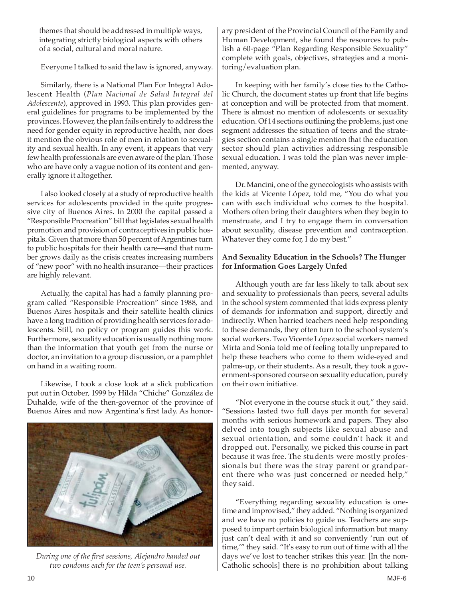themes that should be addressed in multiple ways, integrating strictly biological aspects with others of a social, cultural and moral nature.

Everyone I talked to said the law is ignored, anyway.

Similarly, there is a National Plan For Integral Adolescent Health (*Plan Nacional de Salud Integral del Adolescente*), approved in 1993. This plan provides general guidelines for programs to be implemented by the provinces. However, the plan fails entirely to address the need for gender equity in reproductive health, nor does it mention the obvious role of men in relation to sexuality and sexual health. In any event, it appears that very few health professionals are even aware of the plan. Those who are have only a vague notion of its content and generally ignore it altogether.

I also looked closely at a study of reproductive health services for adolescents provided in the quite progressive city of Buenos Aires. In 2000 the capital passed a "Responsible Procreation" bill that legislates sexual health promotion and provision of contraceptives in public hospitals. Given that more than 50 percent of Argentines turn to public hospitals for their health care—and that number grows daily as the crisis creates increasing numbers of "new poor" with no health insurance—their practices are highly relevant.

Actually, the capital has had a family planning program called "Responsible Procreation" since 1988, and Buenos Aires hospitals and their satellite health clinics have a long tradition of providing health services for adolescents. Still, no policy or program guides this work. Furthermore, sexuality education is usually nothing more than the information that youth get from the nurse or doctor, an invitation to a group discussion, or a pamphlet on hand in a waiting room.

Likewise, I took a close look at a slick publication put out in October, 1999 by Hilda "Chiche" González de Duhalde, wife of the then-governor of the province of Buenos Aires and now Argentina's first lady. As honor-



*During one of the first sessions, Alejandro handed out two condoms each for the teen's personal use.*

ary president of the Provincial Council of the Family and Human Development, she found the resources to publish a 60-page "Plan Regarding Responsible Sexuality" complete with goals, objectives, strategies and a monitoring/evaluation plan.

In keeping with her family's close ties to the Catholic Church, the document states up front that life begins at conception and will be protected from that moment. There is almost no mention of adolescents or sexuality education. Of 14 sections outlining the problems, just one segment addresses the situation of teens and the strategies section contains a single mention that the education sector should plan activities addressing responsible sexual education. I was told the plan was never implemented, anyway.

Dr. Mancini, one of the gynecologists who assists with the kids at Vicente López, told me, "You do what you can with each individual who comes to the hospital. Mothers often bring their daughters when they begin to menstruate, and I try to engage them in conversation about sexuality, disease prevention and contraception. Whatever they come for, I do my best."

# **And Sexuality Education in the Schools? The Hunger for Information Goes Largely Unfed**

Although youth are far less likely to talk about sex and sexuality to professionals than peers, several adults in the school system commented that kids express plenty of demands for information and support, directly and indirectly. When harried teachers need help responding to these demands, they often turn to the school system's social workers. Two Vicente López social workers named Mirta and Sonia told me of feeling totally unprepared to help these teachers who come to them wide-eyed and palms-up, or their students. As a result, they took a government-sponsored course on sexuality education, purely on their own initiative.

"Not everyone in the course stuck it out," they said. "Sessions lasted two full days per month for several months with serious homework and papers. They also delved into tough subjects like sexual abuse and sexual orientation, and some couldn't hack it and dropped out. Personally, we picked this course in part because it was free. The students were mostly professionals but there was the stray parent or grandparent there who was just concerned or needed help," they said.

"Everything regarding sexuality education is onetime and improvised," they added. "Nothing is organized and we have no policies to guide us. Teachers are supposed to impart certain biological information but many just can't deal with it and so conveniently 'run out of time,'" they said. "It's easy to run out of time with all the days we've lost to teacher strikes this year. [In the non-Catholic schools] there is no prohibition about talking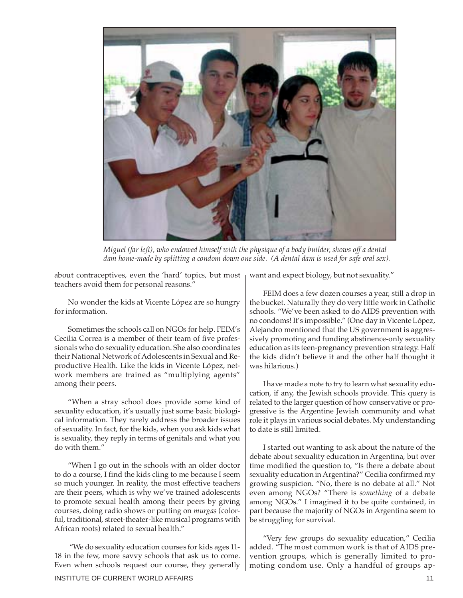

*Miguel (far left), who endowed himself with the physique of a body builder, shows off a dental dam home-made by splitting a condom down one side. (A dental dam is used for safe oral sex).*

about contraceptives, even the 'hard' topics, but most teachers avoid them for personal reasons."

No wonder the kids at Vicente López are so hungry for information.

Sometimes the schools call on NGOs for help. FEIM's Cecilia Correa is a member of their team of five professionals who do sexuality education. She also coordinates their National Network of Adolescents in Sexual and Reproductive Health. Like the kids in Vicente López, network members are trained as "multiplying agents" among their peers.

"When a stray school does provide some kind of sexuality education, it's usually just some basic biological information. They rarely address the broader issues of sexuality. In fact, for the kids, when you ask kids what is sexuality, they reply in terms of genitals and what you do with them."

"When I go out in the schools with an older doctor to do a course, I find the kids cling to me because I seem so much younger. In reality, the most effective teachers are their peers, which is why we've trained adolescents to promote sexual health among their peers by giving courses, doing radio shows or putting on *murgas* (colorful, traditional, street-theater-like musical programs with African roots) related to sexual health."

"We do sexuality education courses for kids ages 11- 18 in the few, more savvy schools that ask us to come. Even when schools request our course, they generally want and expect biology, but not sexuality."

FEIM does a few dozen courses a year, still a drop in the bucket. Naturally they do very little work in Catholic schools. "We've been asked to do AIDS prevention with no condoms! It's impossible." (One day in Vicente López, Alejandro mentioned that the US government is aggressively promoting and funding abstinence-only sexuality education as its teen-pregnancy prevention strategy. Half the kids didn't believe it and the other half thought it was hilarious.)

I have made a note to try to learn what sexuality education, if any, the Jewish schools provide. This query is related to the larger question of how conservative or progressive is the Argentine Jewish community and what role it plays in various social debates. My understanding to date is still limited.

I started out wanting to ask about the nature of the debate about sexuality education in Argentina, but over time modified the question to, "Is there a debate about sexuality education in Argentina?" Cecilia confirmed my growing suspicion. "No, there is no debate at all." Not even among NGOs? "There is *something* of a debate among NGOs." I imagined it to be quite contained, in part because the majority of NGOs in Argentina seem to be struggling for survival.

"Very few groups do sexuality education," Cecilia added. "The most common work is that of AIDS prevention groups, which is generally limited to promoting condom use. Only a handful of groups ap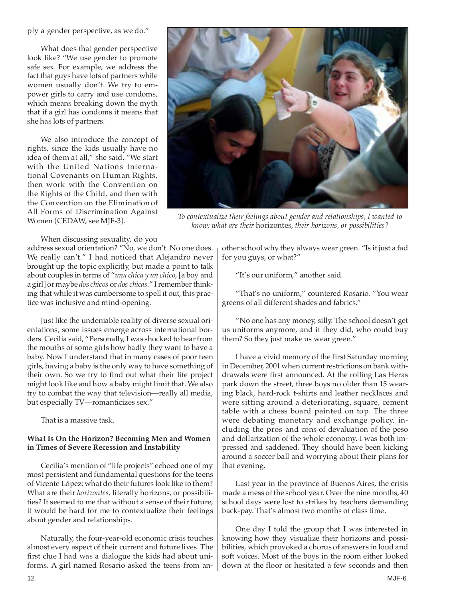ply a gender perspective, as we do."

What does that gender perspective look like? "We use gender to promote safe sex. For example, we address the fact that guys have lots of partners while women usually don't. We try to empower girls to carry and use condoms, which means breaking down the myth that if a girl has condoms it means that she has lots of partners.

We also introduce the concept of rights, since the kids usually have no idea of them at all," she said. "We start with the United Nations International Covenants on Human Rights, then work with the Convention on the Rights of the Child, and then with the Convention on the Elimination of All Forms of Discrimination Against Women (CEDAW, see MJF-3).



*To contextualize their feelings about gender and relationships, I wanted to know: what are their* horizontes, *their horizons, or possibilities?*

When discussing sexuality, do you

address sexual orientation? "No, we don't. No one does. We really can't." I had noticed that Alejandro never brought up the topic explicitly, but made a point to talk about couples in terms of "*una chica y un chico*, [a boy and a girl] or maybe *dos chicos* or *dos chicas*." I remember thinking that while it was cumbersome to spell it out, this practice was inclusive and mind-opening.

Just like the undeniable reality of diverse sexual orientations, some issues emerge across international borders. Cecilia said, "Personally, I was shocked to hear from the mouths of some girls how badly they want to have a baby. Now I understand that in many cases of poor teen girls, having a baby is the only way to have something of their own. So we try to find out what their life project might look like and how a baby might limit that. We also try to combat the way that television—really all media, but especially TV—romanticizes sex."

That is a massive task.

# **What Is On the Horizon? Becoming Men and Women in Times of Severe Recession and Instability**

Cecilia's mention of "life projects" echoed one of my most persistent and fundamental questions for the teens of Vicente López: what do their futures look like to them? What are their *horizontes,* literally horizons, or possibilities? It seemed to me that without a sense of their future, it would be hard for me to contextualize their feelings about gender and relationships.

Naturally, the four-year-old economic crisis touches almost every aspect of their current and future lives. The first clue I had was a dialogue the kids had about uniforms. A girl named Rosario asked the teens from another school why they always wear green. "Is it just a fad for you guys, or what?"

"It's our uniform," another said.

"That's no uniform," countered Rosario. "You wear greens of all different shades and fabrics."

"No one has any money, silly. The school doesn't get us uniforms anymore, and if they did, who could buy them? So they just make us wear green."

I have a vivid memory of the first Saturday morning in December, 2001 when current restrictions on bank withdrawals were first announced. At the rolling Las Heras park down the street, three boys no older than 15 wearing black, hard-rock t-shirts and leather necklaces and were sitting around a deteriorating, square, cement table with a chess board painted on top. The three were debating monetary and exchange policy, including the pros and cons of devaluation of the peso and dollarization of the whole economy. I was both impressed and saddened. They should have been kicking around a soccer ball and worrying about their plans for that evening.

Last year in the province of Buenos Aires, the crisis made a mess of the school year. Over the nine months, 40 school days were lost to strikes by teachers demanding back-pay. That's almost two months of class time.

One day I told the group that I was interested in knowing how they visualize their horizons and possibilities, which provoked a chorus of answers in loud and soft voices. Most of the boys in the room either looked down at the floor or hesitated a few seconds and then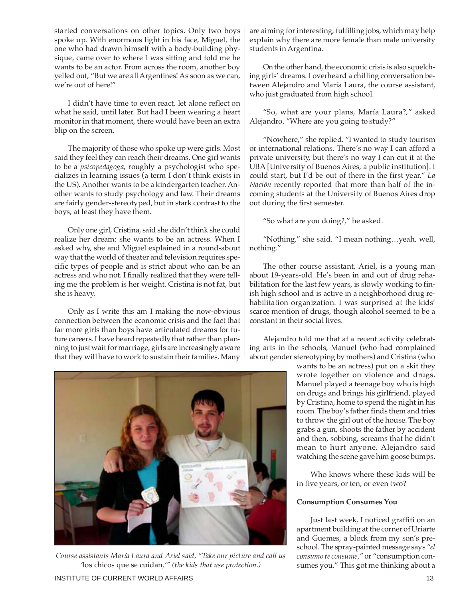started conversations on other topics. Only two boys spoke up. With enormous light in his face, Miguel, the one who had drawn himself with a body-building physique, came over to where I was sitting and told me he wants to be an actor. From across the room, another boy yelled out, "But we are all Argentines! As soon as we can, we're out of here!"

I didn't have time to even react, let alone reflect on what he said, until later. But had I been wearing a heart monitor in that moment, there would have been an extra blip on the screen.

The majority of those who spoke up were girls. Most said they feel they can reach their dreams. One girl wants to be a *psicopedagoga*, roughly a psychologist who specializes in learning issues (a term I don't think exists in the US). Another wants to be a kindergarten teacher. Another wants to study psychology and law. Their dreams are fairly gender-stereotyped, but in stark contrast to the boys, at least they have them.

Only one girl, Cristina, said she didn't think she could realize her dream: she wants to be an actress. When I asked why, she and Miguel explained in a round-about way that the world of theater and television requires specific types of people and is strict about who can be an actress and who not. I finally realized that they were telling me the problem is her weight. Cristina is not fat, but she is heavy.

Only as I write this am I making the now-obvious connection between the economic crisis and the fact that far more girls than boys have articulated dreams for future careers. I have heard repeatedly that rather than planning to just wait for marriage, girls are increasingly aware that they will have to work to sustain their families. Many



On the other hand, the economic crisis is also squelching girls' dreams. I overheard a chilling conversation between Alejandro and María Laura, the course assistant, who just graduated from high school.

"So, what are your plans, María Laura?," asked Alejandro. "Where are you going to study?"

"Nowhere," she replied. "I wanted to study tourism or international relations. There's no way I can afford a private university, but there's no way I can cut it at the UBA [University of Buenos Aires, a public institution]. I could start, but I'd be out of there in the first year." *La Nación* recently reported that more than half of the incoming students at the University of Buenos Aires drop out during the first semester.

"So what are you doing?," he asked.

"Nothing," she said. "I mean nothing…yeah, well, nothing."

The other course assistant, Ariel, is a young man about 19-years-old. He's been in and out of drug rehabilitation for the last few years, is slowly working to finish high school and is active in a neighborhood drug rehabilitation organization. I was surprised at the kids' scarce mention of drugs, though alcohol seemed to be a constant in their social lives.

Alejandro told me that at a recent activity celebrating arts in the schools, Manuel (who had complained about gender stereotyping by mothers) and Cristina (who

wants to be an actress) put on a skit they wrote together on violence and drugs. Manuel played a teenage boy who is high on drugs and brings his girlfriend, played by Cristina, home to spend the night in his room. The boy's father finds them and tries to throw the girl out of the house. The boy grabs a gun, shoots the father by accident and then, sobbing, screams that he didn't mean to hurt anyone. Alejandro said watching the scene gave him goose bumps.

Who knows where these kids will be in five years, or ten, or even two?

# **Consumption Consumes You**

Just last week, I noticed graffiti on an apartment building at the corner of Uriarte and Guemes, a block from my son's preschool. The spray-painted message says *"el consumo te consume,"* or "consumption consumes you." This got me thinking about a



*Course assistants María Laura and Ariel said, "Take our picture and call us '*los chicos que se cuidan,*'" (the kids that use protection.)*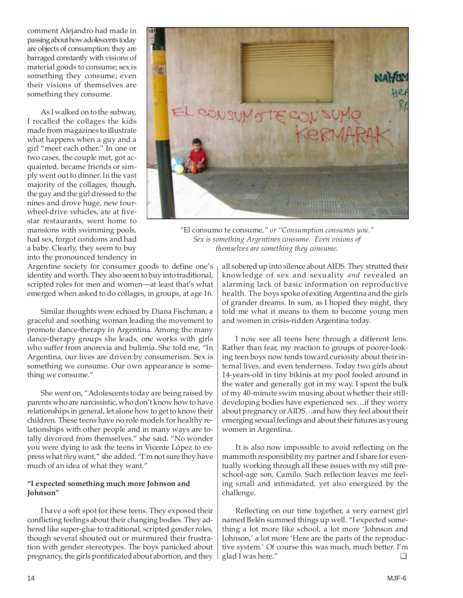comment Alejandro had made in passing about how adolescents today are objects of consumption: they are barraged constantly with visions of material goods to consume; sex is something they consume; even their visions of themselves are something they consume.

As I walked on to the subway, I recalled the collages the kids made from magazines to illustrate what happens when a guy and a girl "meet each other." In one or two cases, the couple met, got acquainted, became friends or simply went out to dinner. In the vast majority of the collages, though, the guy and the girl dressed to the nines and drove huge, new fourwheel-drive vehicles, ate at fivestar restaurants, went home to mansions with swimming pools, had sex, forgot condoms and had a baby. Clearly, they seem to buy into the pronounced tendency in



*"*El consumo te consume*," or "Consumption consumes you." Sex is something Argentines consume. Even visions of themselves are something they consume.*

Argentine society for consumer goods to define one's identity and worth. They also seem to buy into traditional, scripted roles for men and women—at least that's what emerged when asked to do collages, in groups, at age 16.

Similar thoughts were echoed by Diana Fischman, a graceful and soothing woman leading the movement to promote dance-therapy in Argentina. Among the many dance-therapy groups she leads, one works with girls who suffer from anorexia and bulimia. She told me, "In Argentina, our lives are driven by consumerism. Sex is something we consume. Our own appearance is something we consume."

She went on, "Adolescents today are being raised by parents who are narcissistic, who don't know how to have relationships in general, let alone how to get to know their children. These teens have no role models for healthy relationships with other people and in many ways are totally divorced from themselves." she said. "No wonder you were dying to ask the teens in Vicente López to express what *they* want," she added. "I'm not sure they have much of an idea of what they want."

# **"I expected something much more Johnson and Johnson"**

I have a soft spot for these teens. They exposed their conflicting feelings about their changing bodies. They adhered like super-glue to traditional, scripted gender roles, though several shouted out or murmured their frustration with gender stereotypes. The boys panicked about pregnancy, the girls pontificated about abortion, and they

all sobered up into silence about AIDS. They strutted their knowledge of sex and sexuality *and* revealed an alarming lack of basic information on reproductive health. The boys spoke of exiting Argentina and the girls of grander dreams. In sum, as I hoped they might, they told me what it means to them to become young men and women in crisis-ridden Argentina today.

I now see all teens here through a different lens. Rather than fear, my reaction to groups of poorer-looking teen boys now tends toward curiosity about their internal lives, and even tenderness. Today two girls about 14-years-old in tiny bikinis at my pool fooled around in the water and generally got in my way. I spent the bulk of my 40-minute swim musing about whether their stilldeveloping bodies have experienced sex…if they worry about pregnancy or AIDS…and how they feel about their emerging sexual feelings and about their futures as young women in Argentina.

It is also now impossible to avoid reflecting on the mammoth responsibility my partner and I share for eventually working through all these issues with my still preschool-age son, Camilo. Such reflection leaves me feeling small and intimidated, yet also energized by the challenge.

Reflecting on our time together, a very earnest girl named Belén summed things up well. "I expected something a lot more like school, a lot more 'Johnson and Johnson,' a lot more 'Here are the parts of the reproductive system.' Of course this was much, much better. I'm glad I was here." ❏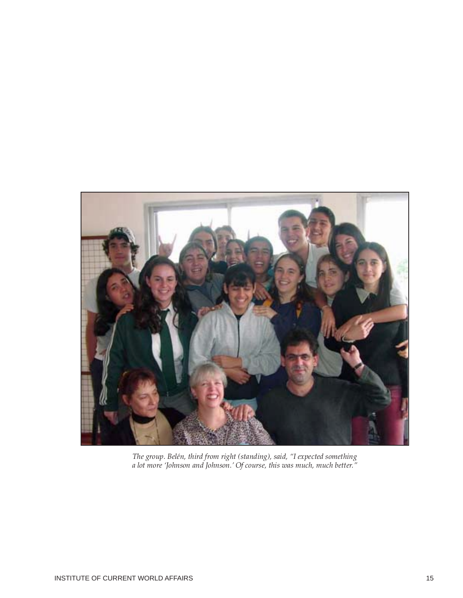

*The group. Belén, third from right (standing), said, "I expected something a lot more 'Johnson and Johnson.' Of course, this was much, much better."*